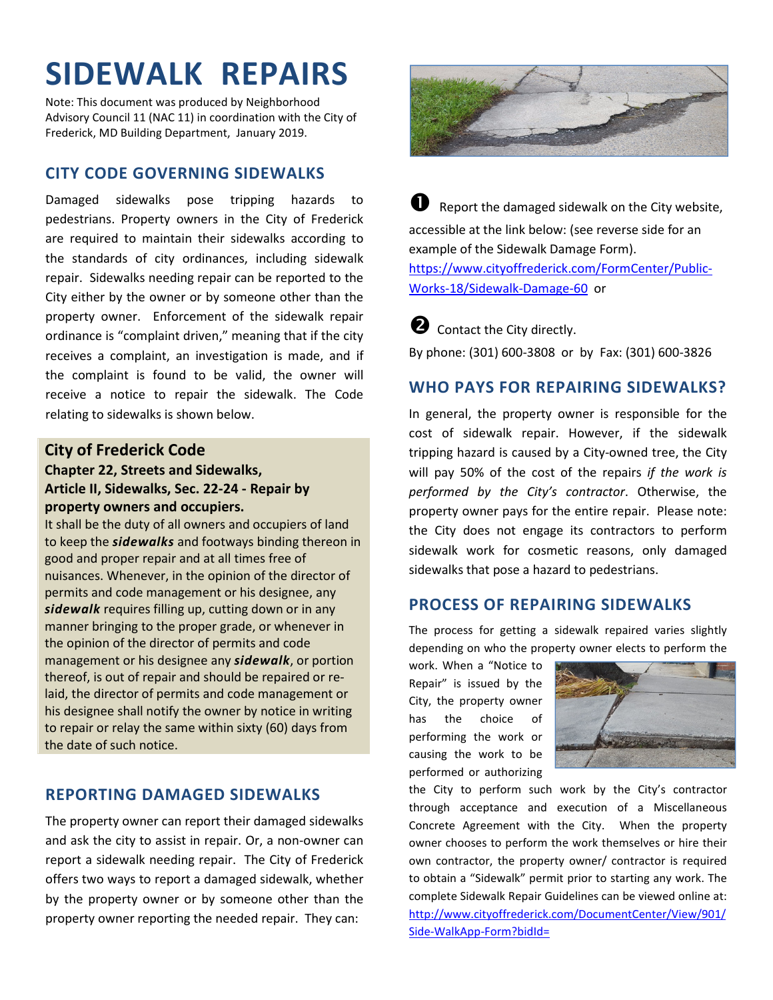# **SIDEWALK REPAIRS**

Note: This document was produced by Neighborhood Advisory Council 11 (NAC 11) in coordination with the City of Frederick, MD Building Department, January 2019.

### **CITY CODE GOVERNING SIDEWALKS**

Damaged sidewalks pose tripping hazards to pedestrians. Property owners in the City of Frederick are required to maintain their sidewalks according to the standards of city ordinances, including sidewalk repair. Sidewalks needing repair can be reported to the City either by the owner or by someone other than the property owner. Enforcement of the sidewalk repair ordinance is "complaint driven," meaning that if the city receives a complaint, an investigation is made, and if the complaint is found to be valid, the owner will receive a notice to repair the sidewalk. The Code relating to sidewalks is shown below.

#### **City of Frederick Code**

#### **Chapter 22, Streets and Sidewalks, Article II, Sidewalks, Sec. 22-24 - Repair by property owners and occupiers.**

It shall be the duty of all owners and occupiers of land to keep the *sidewalks* and footways binding thereon in good and proper repair and at all times free of nuisances. Whenever, in the opinion of the director of permits and code management or his designee, any *sidewalk* requires filling up, cutting down or in any manner bringing to the proper grade, or whenever in the opinion of the director of permits and code management or his designee any *sidewalk*, or portion thereof, is out of repair and should be repaired or relaid, the director of permits and code management or his designee shall notify the owner by notice in writing to repair or relay the same within sixty (60) days from the date of such notice.

### **REPORTING DAMAGED SIDEWALKS**

The property owner can report their damaged sidewalks and ask the city to assist in repair. Or, a non-owner can report a sidewalk needing repair. The City of Frederick offers two ways to report a damaged sidewalk, whether by the property owner or by someone other than the property owner reporting the needed repair. They can:



 $\bullet$  Report the damaged sidewalk on the City website, accessible at the link below: (see reverse side for an example of the Sidewalk Damage Form). https://www.cityoffrederick.com/FormCenter/Public-Works-18/Sidewalk-Damage-60 or

**2** Contact the City directly.

By phone: (301) 600-3808 or by Fax: (301) 600-3826

## **WHO PAYS FOR REPAIRING SIDEWALKS?**

In general, the property owner is responsible for the cost of sidewalk repair. However, if the sidewalk tripping hazard is caused by a City-owned tree, the City will pay 50% of the cost of the repairs *if the work is performed by the City's contractor*. Otherwise, the property owner pays for the entire repair. Please note: the City does not engage its contractors to perform sidewalk work for cosmetic reasons, only damaged sidewalks that pose a hazard to pedestrians.

#### **PROCESS OF REPAIRING SIDEWALKS**

The process for getting a sidewalk repaired varies slightly depending on who the property owner elects to perform the

work. When a "Notice to Repair" is issued by the City, the property owner has the choice of performing the work or causing the work to be performed or authorizing



the City to perform such work by the City's contractor through acceptance and execution of a Miscellaneous Concrete Agreement with the City. When the property owner chooses to perform the work themselves or hire their own contractor, the property owner/ contractor is required to obtain a "Sidewalk" permit prior to starting any work. The complete Sidewalk Repair Guidelines can be viewed online at: http://www.cityoffrederick.com/DocumentCenter/View/901/ Side-WalkApp-Form?bidId=